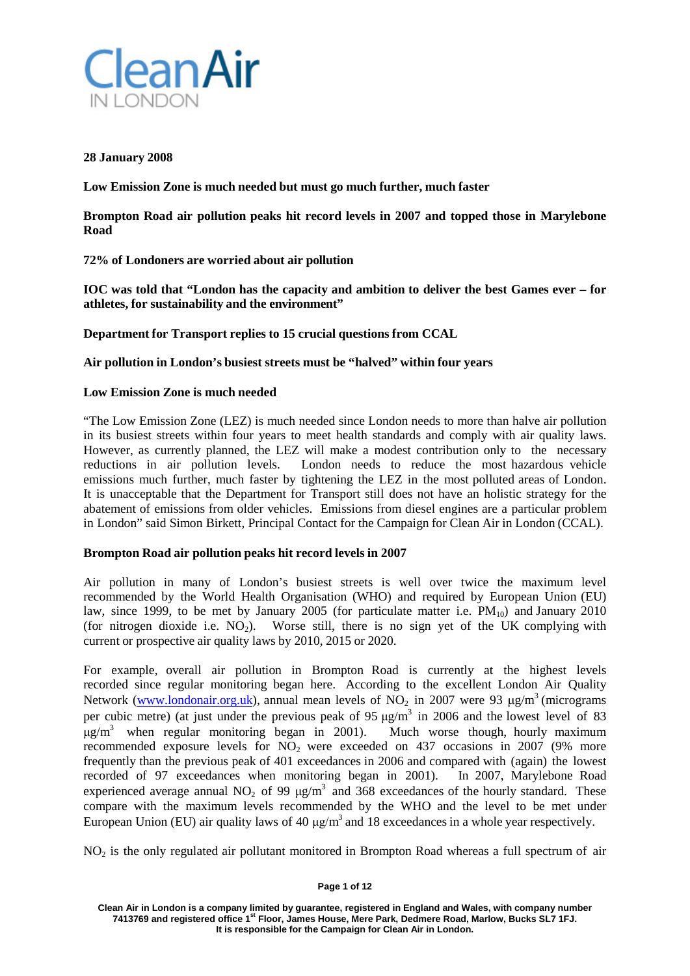

## **28 January 2008**

**Low Emission Zone is much needed but must go much further, much faster**

**Brompton Road air pollution peaks hit record levels in 2007 and topped those in Marylebone Road**

# **72% of Londoners are worried about air pollution**

**IOC was told that "London has the capacity and ambition to deliver the best Games ever – for athletes, for sustainability and the environment"**

**Department for Transport replies to 15 crucial questions from CCAL**

#### **Air pollution in London's busiest streets must be "halved" within four years**

## **Low Emission Zone is much needed**

"The Low Emission Zone (LEZ) is much needed since London needs to more than halve air pollution in its busiest streets within four years to meet health standards and comply with air quality laws. However, as currently planned, the LEZ will make a modest contribution only to the necessary reductions in air pollution levels. London needs to reduce the most hazardous vehicle emissions much further, much faster by tightening the LEZ in the most polluted areas of London. It is unacceptable that the Department for Transport still does not have an holistic strategy for the abatement of emissions from older vehicles. Emissions from diesel engines are a particular problem in London" said Simon Birkett, Principal Contact for the Campaign for Clean Air in London (CCAL).

## **Brompton Road air pollution peaks hit record levels in 2007**

Air pollution in many of London's busiest streets is well over twice the maximum level recommended by the World Health Organisation (WHO) and required by European Union (EU) law, since 1999, to be met by January 2005 (for particulate matter i.e.  $PM_{10}$ ) and January 2010 (for nitrogen dioxide i.e.  $NO<sub>2</sub>$ ). Worse still, there is no sign yet of the UK complying with current or prospective air quality laws by 2010, 2015 or 2020.

For example, overall air pollution in Brompton Road is currently at the highest levels recorded since regular monitoring began here. According to the excellent London Air Quality Network (www.londonair.org.uk), annual mean levels of NO<sub>2</sub> in 2007 were 93  $\mu$ g/m<sup>3</sup> (micrograms per cubic metre) (at just under the previous peak of 95  $\mu$ g/m<sup>3</sup> in 2006 and the lowest level of 83  $\mu$ g/m<sup>3</sup> when regular monitoring began in 2001). Much worse though hourly maximum recommended exposure levels for  $NO<sub>2</sub>$  were exceeded on 437 occasions in 2007 (9% more frequently than the previous peak of 401 exceedances in 2006 and compared with (again) the lowest recorded of 97 exceedances when monitoring began in 2001). In 2007, Marylebone Road experienced average annual  $NO<sub>2</sub>$  of 99  $\mu$ g/m<sup>3</sup> and 368 exceedances of the hourly standard. These compare with the maximum levels recommended by the WHO and the level to be met under European Union (EU) air quality laws of 40  $\mu$ g/m<sup>3</sup> and 18 exceedances in a whole year respectively.

NO<sub>2</sub> is the only regulated air pollutant monitored in Brompton Road whereas a full spectrum of air

#### **Page 1 of 12**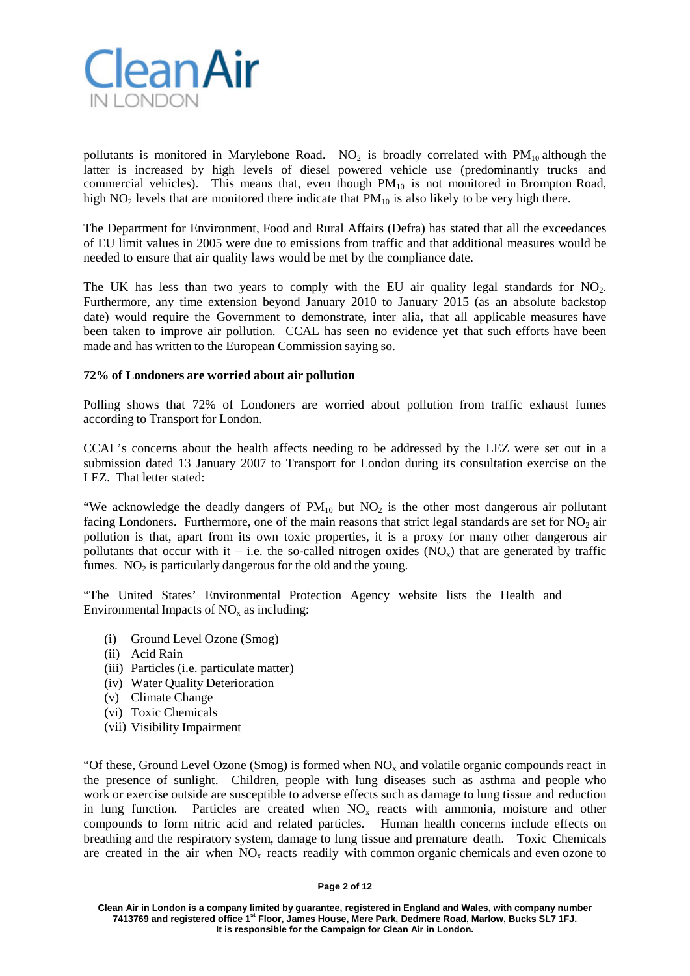

pollutants is monitored in Marylebone Road. NO<sub>2</sub> is broadly correlated with  $PM_{10}$  although the latter is increased by high levels of diesel powered vehicle use (predominantly trucks and commercial vehicles). This means that, even though  $PM_{10}$  is not monitored in Brompton Road, high NO<sub>2</sub> levels that are monitored there indicate that  $PM_{10}$  is also likely to be very high there.

The Department for Environment, Food and Rural Affairs (Defra) has stated that all the exceedances of EU limit values in 2005 were due to emissions from traffic and that additional measures would be needed to ensure that air quality laws would be met by the compliance date.

The UK has less than two years to comply with the EU air quality legal standards for  $NO<sub>2</sub>$ . Furthermore, any time extension beyond January 2010 to January 2015 (as an absolute backstop date) would require the Government to demonstrate, inter alia, that all applicable measures have been taken to improve air pollution. CCAL has seen no evidence yet that such efforts have been made and has written to the European Commission saying so.

#### **72% of Londoners are worried about air pollution**

Polling shows that 72% of Londoners are worried about pollution from traffic exhaust fumes according to Transport for London.

CCAL's concerns about the health affects needing to be addressed by the LEZ were set out in a submission dated 13 January 2007 to Transport for London during its consultation exercise on the LEZ. That letter stated:

"We acknowledge the deadly dangers of  $PM_{10}$  but  $NO<sub>2</sub>$  is the other most dangerous air pollutant facing Londoners. Furthermore, one of the main reasons that strict legal standards are set for  $NO<sub>2</sub>$  air pollution is that, apart from its own toxic properties, it is a proxy for many other dangerous air pollutants that occur with it – i.e. the so-called nitrogen oxides  $(NO_x)$  that are generated by traffic fumes.  $NO<sub>2</sub>$  is particularly dangerous for the old and the young.

"The United States' Environmental Protection Agency website lists the Health and Environmental Impacts of  $NO<sub>x</sub>$  as including:

- (i) Ground Level Ozone (Smog)
- (ii) Acid Rain
- (iii) Particles (i.e. particulate matter)
- (iv) Water Quality Deterioration
- (v) Climate Change
- (vi) Toxic Chemicals
- (vii) Visibility Impairment

"Of these, Ground Level Ozone (Smog) is formed when  $NO<sub>x</sub>$  and volatile organic compounds react in the presence of sunlight. Children, people with lung diseases such as asthma and people who work or exercise outside are susceptible to adverse effects such as damage to lung tissue and reduction in lung function. Particles are created when  $NO<sub>x</sub>$  reacts with ammonia, moisture and other compounds to form nitric acid and related particles. Human health concerns include effects on breathing and the respiratory system, damage to lung tissue and premature death. Toxic Chemicals are created in the air when  $NO<sub>x</sub>$  reacts readily with common organic chemicals and even ozone to

#### **Page 2 of 12**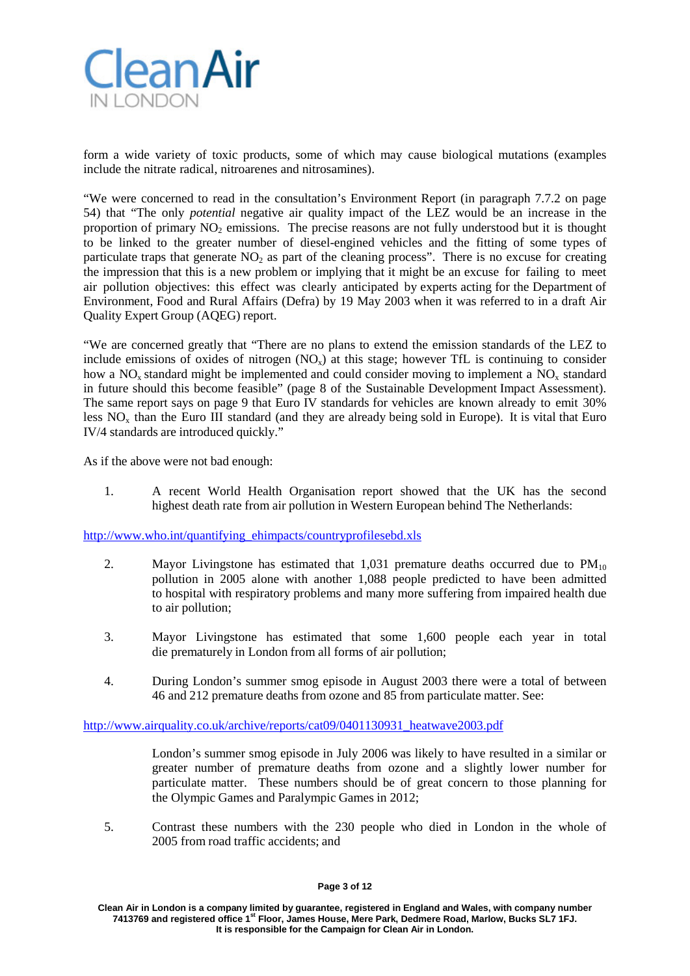

form a wide variety of toxic products, some of which may cause biological mutations (examples include the nitrate radical, nitroarenes and nitrosamines).

"We were concerned to read in the consultation's Environment Report (in paragraph 7.7.2 on page 54) that "The only *potential* negative air quality impact of the LEZ would be an increase in the proportion of primary NO<sub>2</sub> emissions. The precise reasons are not fully understood but it is thought to be linked to the greater number of diesel-engined vehicles and the fitting of some types of particulate traps that generate  $NO<sub>2</sub>$  as part of the cleaning process". There is no excuse for creating the impression that this is a new problem or implying that it might be an excuse for failing to meet air pollution objectives: this effect was clearly anticipated by experts acting for the Department of Environment, Food and Rural Affairs (Defra) by 19 May 2003 when it was referred to in a draft Air Quality Expert Group (AQEG) report.

"We are concerned greatly that "There are no plans to extend the emission standards of the LEZ to include emissions of oxides of nitrogen  $(NO<sub>x</sub>)$  at this stage; however TfL is continuing to consider how a  $NO<sub>x</sub>$  standard might be implemented and could consider moving to implement a  $NO<sub>x</sub>$  standard in future should this become feasible" (page 8 of the Sustainable Development Impact Assessment). The same report says on page 9 that Euro IV standards for vehicles are known already to emit 30% less  $NO<sub>x</sub>$  than the Euro III standard (and they are already being sold in Europe). It is vital that Euro IV/4 standards are introduced quickly."

As if the above were not bad enough:

1. A recent World Health Organisation report showed that the UK has the second highest death rate from air pollution in Western European behind The Netherlands:

[http://www.who.int/quantifying\\_ehimpacts/countryprofilesebd.xls](http://www.who.int/quantifying_ehimpacts/countryprofilesebd.xls)

- 2. Mayor Livingstone has estimated that  $1,031$  premature deaths occurred due to  $PM_{10}$ pollution in 2005 alone with another 1,088 people predicted to have been admitted to hospital with respiratory problems and many more suffering from impaired health due to air pollution;
- 3. Mayor Livingstone has estimated that some 1,600 people each year in total die prematurely in London from all forms of air pollution;
- 4. During London's summer smog episode in August 2003 there were a total of between 46 and 212 premature deaths from ozone and 85 from particulate matter. See:

[http://www.airquality.co.uk/archive/reports/cat09/0401130931\\_heatwave2003.pdf](http://www.airquality.co.uk/archive/reports/cat09/0401130931_heatwave2003.pdf)

London's summer smog episode in July 2006 was likely to have resulted in a similar or greater number of premature deaths from ozone and a slightly lower number for particulate matter. These numbers should be of great concern to those planning for the Olympic Games and Paralympic Games in 2012;

5. Contrast these numbers with the 230 people who died in London in the whole of 2005 from road traffic accidents; and

**Clean Air in London is a company limited by guarantee, registered in England and Wales, with company number 7413769 and registered office 1st Floor, James House, Mere Park, Dedmere Road, Marlow, Bucks SL7 1FJ. It is responsible for the Campaign for Clean Air in London.**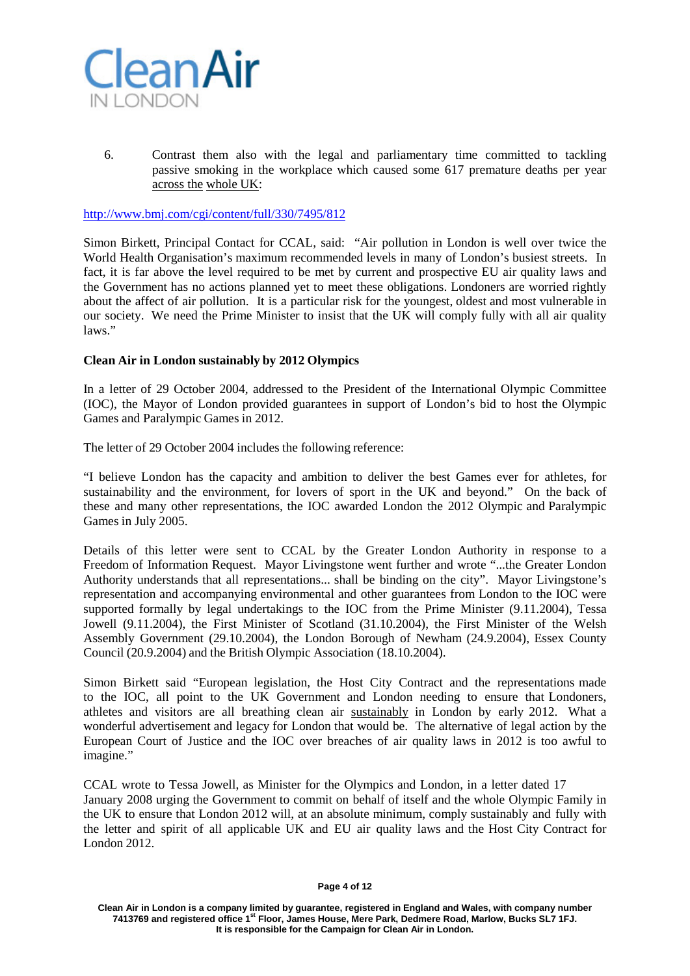

6. Contrast them also with the legal and parliamentary time committed to tackling passive smoking in the workplace which caused some 617 premature deaths per year across the whole UK:

<http://www.bmj.com/cgi/content/full/330/7495/812>

Simon Birkett, Principal Contact for CCAL, said: "Air pollution in London is well over twice the World Health Organisation's maximum recommended levels in many of London's busiest streets. In fact, it is far above the level required to be met by current and prospective EU air quality laws and the Government has no actions planned yet to meet these obligations. Londoners are worried rightly about the affect of air pollution. It is a particular risk for the youngest, oldest and most vulnerable in our society. We need the Prime Minister to insist that the UK will comply fully with all air quality laws."

## **Clean Air in London sustainably by 2012 Olympics**

In a letter of 29 October 2004, addressed to the President of the International Olympic Committee (IOC), the Mayor of London provided guarantees in support of London's bid to host the Olympic Games and Paralympic Games in 2012.

The letter of 29 October 2004 includes the following reference:

"I believe London has the capacity and ambition to deliver the best Games ever for athletes, for sustainability and the environment, for lovers of sport in the UK and beyond." On the back of these and many other representations, the IOC awarded London the 2012 Olympic and Paralympic Games in July 2005.

Details of this letter were sent to CCAL by the Greater London Authority in response to a Freedom of Information Request. Mayor Livingstone went further and wrote "...the Greater London Authority understands that all representations... shall be binding on the city". Mayor Livingstone's representation and accompanying environmental and other guarantees from London to the IOC were supported formally by legal undertakings to the IOC from the Prime Minister (9.11.2004), Tessa Jowell (9.11.2004), the First Minister of Scotland (31.10.2004), the First Minister of the Welsh Assembly Government (29.10.2004), the London Borough of Newham (24.9.2004), Essex County Council (20.9.2004) and the British Olympic Association (18.10.2004).

Simon Birkett said "European legislation, the Host City Contract and the representations made to the IOC, all point to the UK Government and London needing to ensure that Londoners, athletes and visitors are all breathing clean air sustainably in London by early 2012. What a wonderful advertisement and legacy for London that would be. The alternative of legal action by the European Court of Justice and the IOC over breaches of air quality laws in 2012 is too awful to imagine."

CCAL wrote to Tessa Jowell, as Minister for the Olympics and London, in a letter dated 17 January 2008 urging the Government to commit on behalf of itself and the whole Olympic Family in the UK to ensure that London 2012 will, at an absolute minimum, comply sustainably and fully with the letter and spirit of all applicable UK and EU air quality laws and the Host City Contract for London 2012.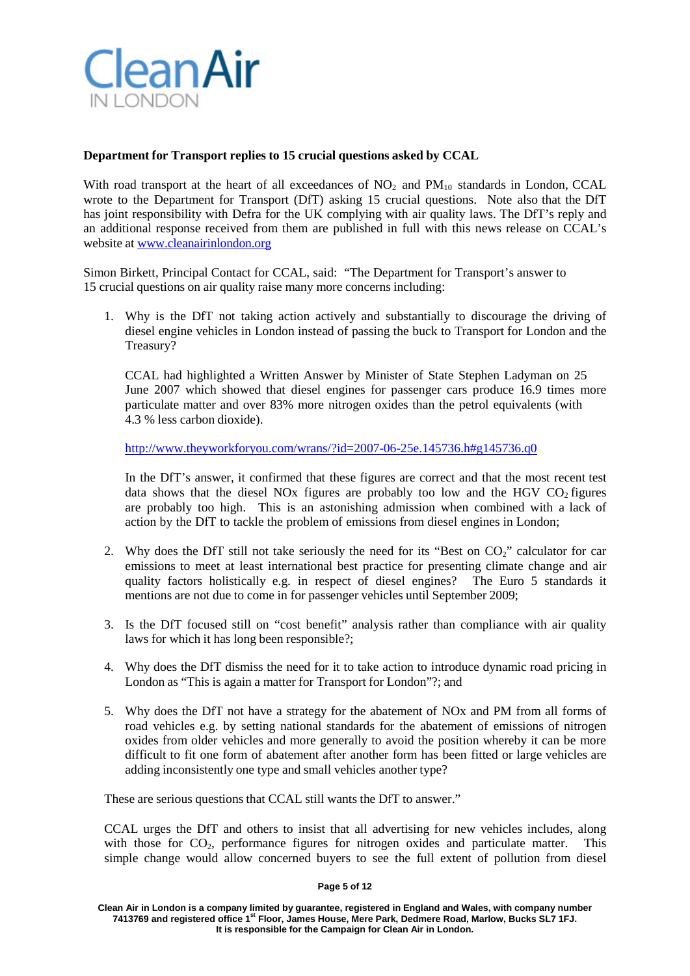

# **Department for Transport replies to 15 crucial questions asked by CCAL**

With road transport at the heart of all exceedances of  $NO<sub>2</sub>$  and  $PM<sub>10</sub>$  standards in London, CCAL wrote to the Department for Transport (DfT) asking 15 crucial questions. Note also that the DfT has joint responsibility with Defra for the UK complying with air quality laws. The DfT's reply and an additional response received from them are published in full with this news release on CCAL's website at [www.cleanairinlondon.org](http://www.cleanairinlondon.org/)

Simon Birkett, Principal Contact for CCAL, said: "The Department for Transport's answer to 15 crucial questions on air quality raise many more concerns including:

1. Why is the DfT not taking action actively and substantially to discourage the driving of diesel engine vehicles in London instead of passing the buck to Transport for London and the Treasury?

CCAL had highlighted a Written Answer by Minister of State Stephen Ladyman on 25 June 2007 which showed that diesel engines for passenger cars produce 16.9 times more particulate matter and over 83% more nitrogen oxides than the petrol equivalents (with 4.3 % less carbon dioxide).

<http://www.theyworkforyou.com/wrans/?id=2007-06-25e.145736.h#g145736.q0>

In the DfT's answer, it confirmed that these figures are correct and that the most recent test data shows that the diesel NO<sub>x</sub> figures are probably too low and the HGV  $CO<sub>2</sub>$  figures are probably too high. This is an astonishing admission when combined with a lack of action by the DfT to tackle the problem of emissions from diesel engines in London;

- 2. Why does the DfT still not take seriously the need for its "Best on  $CO<sub>2</sub>$ " calculator for car emissions to meet at least international best practice for presenting climate change and air quality factors holistically e.g. in respect of diesel engines? The Euro 5 standards it mentions are not due to come in for passenger vehicles until September 2009;
- 3. Is the DfT focused still on "cost benefit" analysis rather than compliance with air quality laws for which it has long been responsible?;
- 4. Why does the DfT dismiss the need for it to take action to introduce dynamic road pricing in London as "This is again a matter for Transport for London"?; and
- 5. Why does the DfT not have a strategy for the abatement of NOx and PM from all forms of road vehicles e.g. by setting national standards for the abatement of emissions of nitrogen oxides from older vehicles and more generally to avoid the position whereby it can be more difficult to fit one form of abatement after another form has been fitted or large vehicles are adding inconsistently one type and small vehicles another type?

These are serious questions that CCAL still wants the DfT to answer."

CCAL urges the DfT and others to insist that all advertising for new vehicles includes, along with those for  $CO<sub>2</sub>$ , performance figures for nitrogen oxides and particulate matter. This simple change would allow concerned buyers to see the full extent of pollution from diesel

#### **Page 5 of 12**

**Clean Air in London is a company limited by guarantee, registered in England and Wales, with company number 7413769 and registered office 1st Floor, James House, Mere Park, Dedmere Road, Marlow, Bucks SL7 1FJ. It is responsible for the Campaign for Clean Air in London.**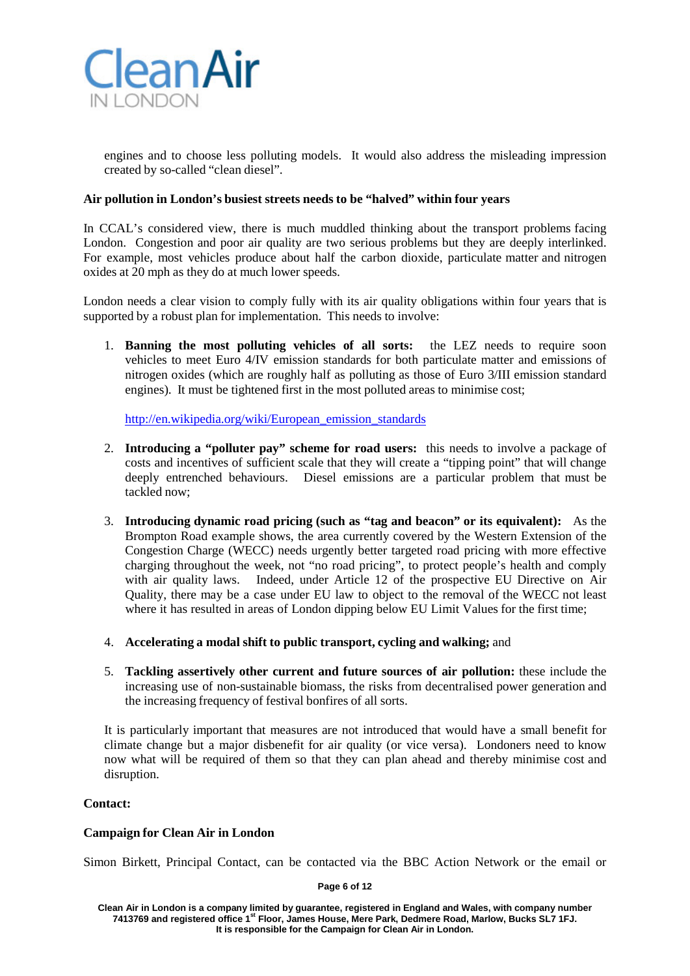

engines and to choose less polluting models. It would also address the misleading impression created by so-called "clean diesel".

## **Air pollution in London's busiest streets needs to be "halved" within four years**

In CCAL's considered view, there is much muddled thinking about the transport problems facing London. Congestion and poor air quality are two serious problems but they are deeply interlinked. For example, most vehicles produce about half the carbon dioxide, particulate matter and nitrogen oxides at 20 mph as they do at much lower speeds.

London needs a clear vision to comply fully with its air quality obligations within four years that is supported by a robust plan for implementation. This needs to involve:

1. **Banning the most polluting vehicles of all sorts:** the LEZ needs to require soon vehicles to meet Euro 4/IV emission standards for both particulate matter and emissions of nitrogen oxides (which are roughly half as polluting as those of Euro 3/III emission standard engines). It must be tightened first in the most polluted areas to minimise cost;

[http://en.wikipedia.org/wiki/European\\_emission\\_standards](http://en.wikipedia.org/wiki/European_emission_standards)

- 2. **Introducing a "polluter pay" scheme for road users:** this needs to involve a package of costs and incentives of sufficient scale that they will create a "tipping point" that will change deeply entrenched behaviours. Diesel emissions are a particular problem that must be tackled now;
- 3. **Introducing dynamic road pricing (such as "tag and beacon" or its equivalent):** As the Brompton Road example shows, the area currently covered by the Western Extension of the Congestion Charge (WECC) needs urgently better targeted road pricing with more effective charging throughout the week, not "no road pricing", to protect people's health and comply with air quality laws. Indeed, under Article 12 of the prospective EU Directive on Air Quality, there may be a case under EU law to object to the removal of the WECC not least where it has resulted in areas of London dipping below EU Limit Values for the first time;
- 4. **Accelerating a modal shift to public transport, cycling and walking;** and
- 5. **Tackling assertively other current and future sources of air pollution:** these include the increasing use of non-sustainable biomass, the risks from decentralised power generation and the increasing frequency of festival bonfires of all sorts.

It is particularly important that measures are not introduced that would have a small benefit for climate change but a major disbenefit for air quality (or vice versa). Londoners need to know now what will be required of them so that they can plan ahead and thereby minimise cost and disruption.

## **Contact:**

#### **Campaign for Clean Air in London**

Simon Birkett, Principal Contact, can be contacted via the BBC Action Network or the email or

**Page 6 of 12**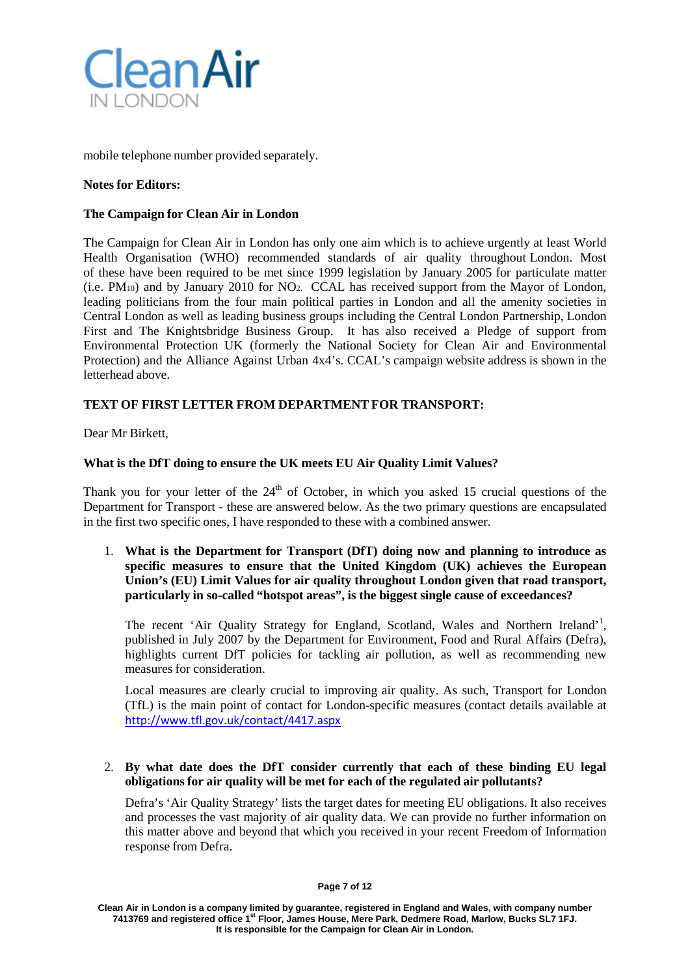

mobile telephone number provided separately.

## **Notes for Editors:**

## **The Campaign for Clean Air in London**

The Campaign for Clean Air in London has only one aim which is to achieve urgently at least World Health Organisation (WHO) recommended standards of air quality throughout London. Most of these have been required to be met since 1999 legislation by January 2005 for particulate matter (i.e. PM10) and by January 2010 for NO2. CCAL has received support from the Mayor of London, leading politicians from the four main political parties in London and all the amenity societies in Central London as well as leading business groups including the Central London Partnership, London First and The Knightsbridge Business Group. It has also received a Pledge of support from Environmental Protection UK (formerly the National Society for Clean Air and Environmental Protection) and the Alliance Against Urban 4x4's. CCAL's campaign website address is shown in the letterhead above.

## **TEXT OF FIRST LETTER FROM DEPARTMENT FOR TRANSPORT:**

Dear Mr Birkett,

## **What is the DfT doing to ensure the UK meets EU Air Quality Limit Values?**

Thank you for your letter of the  $24<sup>th</sup>$  of October, in which you asked 15 crucial questions of the Department for Transport - these are answered below. As the two primary questions are encapsulated in the first two specific ones, I have responded to these with a combined answer.

1. **What is the Department for Transport (DfT) doing now and planning to introduce as specific measures to ensure that the United Kingdom (UK) achieves the European Union's (EU) Limit Values for air quality throughout London given that road transport, particularly in so-called "hotspot areas", is the biggest single cause of exceedances?**

The recent 'Air Quality Strategy for England, Scotland, Wales and Northern Ireland'<sup>1</sup>, published in July 2007 by the Department for Environment, Food and Rural Affairs (Defra), highlights current DfT policies for tackling air pollution, as well as recommending new measures for consideration.

Local measures are clearly crucial to improving air quality. As such, Transport for London (TfL) is the main point of contact for London-specific measures (contact details available at <http://www.tfl.gov.uk/contact/4417.aspx>

## 2. **By what date does the DfT consider currently that each of these binding EU legal obligations for air quality will be met for each of the regulated air pollutants?**

Defra's 'Air Quality Strategy' lists the target dates for meeting EU obligations. It also receives and processes the vast majority of air quality data. We can provide no further information on this matter above and beyond that which you received in your recent Freedom of Information response from Defra.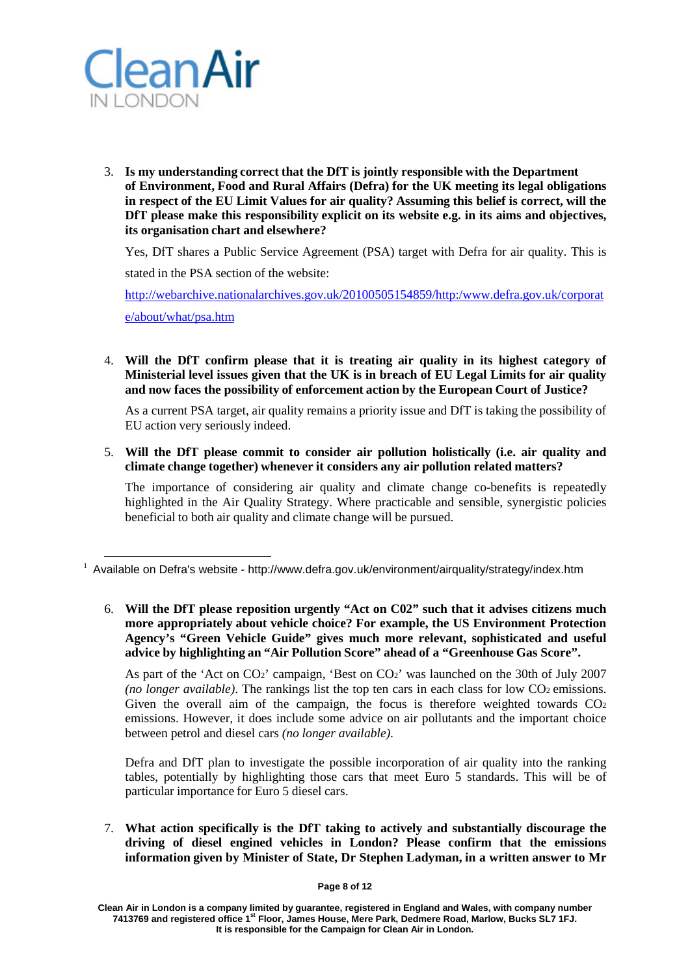

3. **Is my understanding correct that the DfT is jointly responsible with the Department of Environment, Food and Rural Affairs (Defra) for the UK meeting its legal obligations in respect of the EU Limit Values for air quality? Assuming this belief is correct, will the DfT please make this responsibility explicit on its website e.g. in its aims and objectives, its organisation chart and elsewhere?**

Yes, DfT shares a Public Service Agreement (PSA) target with Defra for air quality. This is stated in the PSA section of the website:

[http://webarchive.nationalarchives.gov.uk/20100505154859/http:/www.defra.gov.uk/corporat](http://webarchive.nationalarchives.gov.uk/20100505154859/http:/www.defra.gov.uk/corporate/about/what/psa.htm) [e/about/what/psa.htm](http://webarchive.nationalarchives.gov.uk/20100505154859/http:/www.defra.gov.uk/corporate/about/what/psa.htm)

4. **Will the DfT confirm please that it is treating air quality in its highest category of Ministerial level issues given that the UK is in breach of EU Legal Limits for air quality and now faces the possibility of enforcement action by the European Court of Justice?**

As a current PSA target, air quality remains a priority issue and DfT is taking the possibility of EU action very seriously indeed.

5. **Will the DfT please commit to consider air pollution holistically (i.e. air quality and climate change together) whenever it considers any air pollution related matters?**

The importance of considering air quality and climate change co-benefits is repeatedly highlighted in the Air Quality Strategy. Where practicable and sensible, synergistic policies beneficial to both air quality and climate change will be pursued.

6. **Will the DfT please reposition urgently "Act on C02" such that it advises citizens much more appropriately about vehicle choice? For example, the US Environment Protection Agency's "Green Vehicle Guide" gives much more relevant, sophisticated and useful advice by highlighting an "Air Pollution Score" ahead of a "Greenhouse Gas Score".**

As part of the 'Act on CO<sub>2</sub>' campaign, 'Best on CO<sub>2</sub>' was launched on the 30th of July 2007 *(no longer available)*. The rankings list the top ten cars in each class for low CO<sub>2</sub> emissions. Given the overall aim of the campaign, the focus is therefore weighted towards  $CO<sub>2</sub>$ emissions. However, it does include some advice on air pollutants and the important choice between petrol and diesel cars *(no longer available)*.

Defra and DfT plan to investigate the possible incorporation of air quality into the ranking tables, potentially by highlighting those cars that meet Euro 5 standards. This will be of particular importance for Euro 5 diesel cars.

7. **What action specifically is the DfT taking to actively and substantially discourage the driving of diesel engined vehicles in London? Please confirm that the emissions information given by Minister of State, Dr Stephen Ladyman, in a written answer to Mr** 

**Page 8 of 12**

 $1$  Available on Defra's website - <http://www.defra.gov.uk/environment/airquality/strategy/index.htm>

**Clean Air in London is a company limited by guarantee, registered in England and Wales, with company number 7413769 and registered office 1st Floor, James House, Mere Park, Dedmere Road, Marlow, Bucks SL7 1FJ. It is responsible for the Campaign for Clean Air in London.**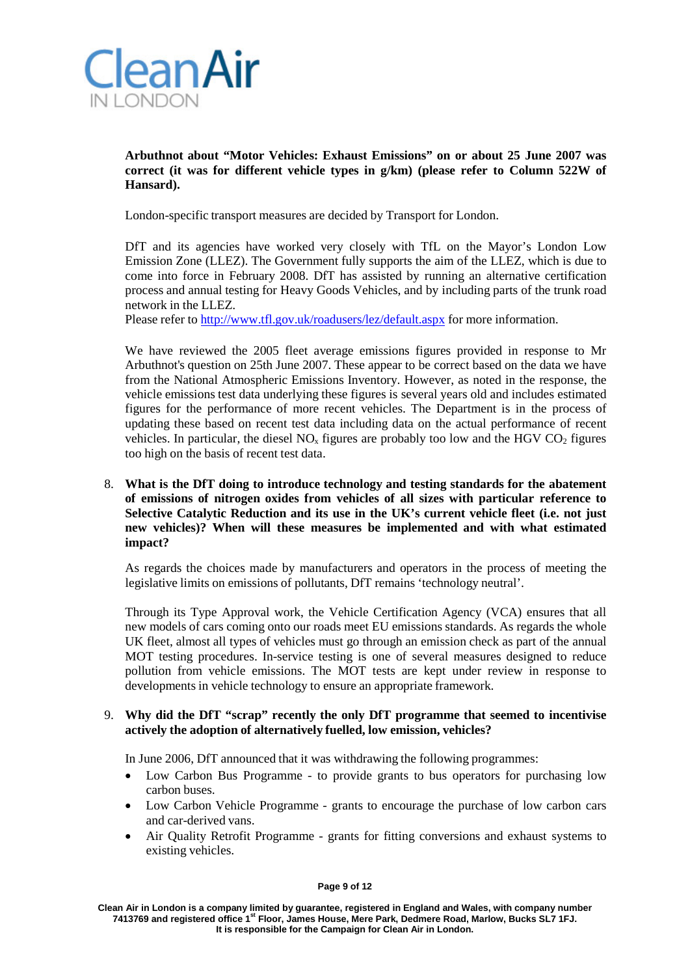

**Arbuthnot about "Motor Vehicles: Exhaust Emissions" on or about 25 June 2007 was correct (it was for different vehicle types in g/km) (please refer to Column 522W of Hansard).**

London-specific transport measures are decided by Transport for London.

DfT and its agencies have worked very closely with TfL on the Mayor's London Low Emission Zone (LLEZ). The Government fully supports the aim of the LLEZ, which is due to come into force in February 2008. DfT has assisted by running an alternative certification process and annual testing for Heavy Goods Vehicles, and by including parts of the trunk road network in the LLEZ.

Please refer to <http://www.tfl.gov.uk/roadusers/lez/default.aspx> for more information.

We have reviewed the 2005 fleet average emissions figures provided in response to Mr Arbuthnot's question on 25th June 2007. These appear to be correct based on the data we have from the National Atmospheric Emissions Inventory. However, as noted in the response, the vehicle emissions test data underlying these figures is several years old and includes estimated figures for the performance of more recent vehicles. The Department is in the process of updating these based on recent test data including data on the actual performance of recent vehicles. In particular, the diesel  $NO<sub>x</sub>$  figures are probably too low and the HGV  $CO<sub>2</sub>$  figures too high on the basis of recent test data.

## 8. **What is the DfT doing to introduce technology and testing standards for the abatement of emissions of nitrogen oxides from vehicles of all sizes with particular reference to Selective Catalytic Reduction and its use in the UK's current vehicle fleet (i.e. not just new vehicles)? When will these measures be implemented and with what estimated impact?**

As regards the choices made by manufacturers and operators in the process of meeting the legislative limits on emissions of pollutants, DfT remains 'technology neutral'.

Through its Type Approval work, the Vehicle Certification Agency (VCA) ensures that all new models of cars coming onto our roads meet EU emissions standards. As regards the whole UK fleet, almost all types of vehicles must go through an emission check as part of the annual MOT testing procedures. In-service testing is one of several measures designed to reduce pollution from vehicle emissions. The MOT tests are kept under review in response to developments in vehicle technology to ensure an appropriate framework.

## 9. **Why did the DfT "scrap" recently the only DfT programme that seemed to incentivise actively the adoption of alternatively fuelled, low emission, vehicles?**

In June 2006, DfT announced that it was withdrawing the following programmes:

- Low Carbon Bus Programme to provide grants to bus operators for purchasing low carbon buses.
- Low Carbon Vehicle Programme grants to encourage the purchase of low carbon cars and car-derived vans.
- Air Quality Retrofit Programme grants for fitting conversions and exhaust systems to existing vehicles.

#### **Page 9 of 12**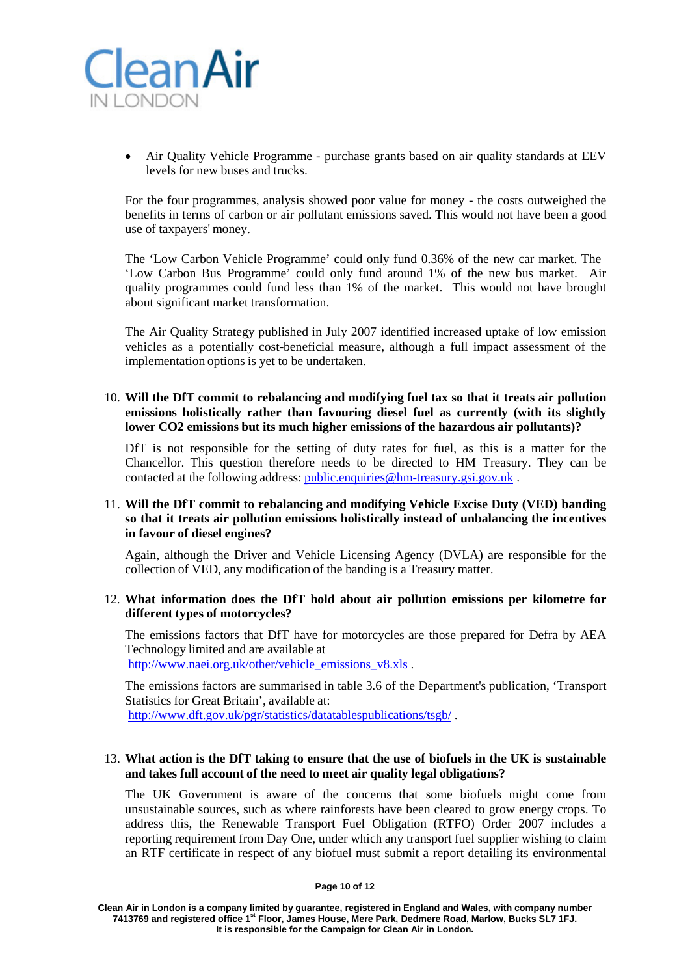

• Air Quality Vehicle Programme - purchase grants based on air quality standards at EEV levels for new buses and trucks.

For the four programmes, analysis showed poor value for money - the costs outweighed the benefits in terms of carbon or air pollutant emissions saved. This would not have been a good use of taxpayers' money.

The 'Low Carbon Vehicle Programme' could only fund 0.36% of the new car market. The 'Low Carbon Bus Programme' could only fund around 1% of the new bus market. Air quality programmes could fund less than 1% of the market. This would not have brought about significant market transformation.

The Air Quality Strategy published in July 2007 identified increased uptake of low emission vehicles as a potentially cost-beneficial measure, although a full impact assessment of the implementation options is yet to be undertaken.

10. **Will the DfT commit to rebalancing and modifying fuel tax so that it treats air pollution emissions holistically rather than favouring diesel fuel as currently (with its slightly lower CO2 emissions but its much higher emissions of the hazardous air pollutants)?**

DfT is not responsible for the setting of duty rates for fuel, as this is a matter for the Chancellor. This question therefore needs to be directed to HM Treasury. They can be contacted at the following address: [public.enquiries@hm-treasury.gsi.gov.uk](mailto:public.enquiries@hm-treasury.gsi.gov.uk) .

## 11. **Will the DfT commit to rebalancing and modifying Vehicle Excise Duty (VED) banding so that it treats air pollution emissions holistically instead of unbalancing the incentives in favour of diesel engines?**

Again, although the Driver and Vehicle Licensing Agency (DVLA) are responsible for the collection of VED, any modification of the banding is a Treasury matter.

#### 12. **What information does the DfT hold about air pollution emissions per kilometre for different types of motorcycles?**

The emissions factors that DfT have for motorcycles are those prepared for Defra by AEA Technology limited and are available at [http://www.naei.org.uk/other/vehicle\\_emissions\\_v8.xls](http://www.naei.org.uk/other/vehicle_emissions_v8.xls).

The emissions factors are summarised in table 3.6 of the Department's publication, 'Transport Statistics for Great Britain', available at:

<http://www.dft.gov.uk/pgr/statistics/datatablespublications/tsgb/> .

#### 13. **What action is the DfT taking to ensure that the use of biofuels in the UK is sustainable and takes full account of the need to meet air quality legal obligations?**

The UK Government is aware of the concerns that some biofuels might come from unsustainable sources, such as where rainforests have been cleared to grow energy crops. To address this, the Renewable Transport Fuel Obligation (RTFO) Order 2007 includes a reporting requirement from Day One, under which any transport fuel supplier wishing to claim an RTF certificate in respect of any biofuel must submit a report detailing its environmental

**Page 10 of 12**

**Clean Air in London is a company limited by guarantee, registered in England and Wales, with company number 7413769 and registered office 1st Floor, James House, Mere Park, Dedmere Road, Marlow, Bucks SL7 1FJ. It is responsible for the Campaign for Clean Air in London.**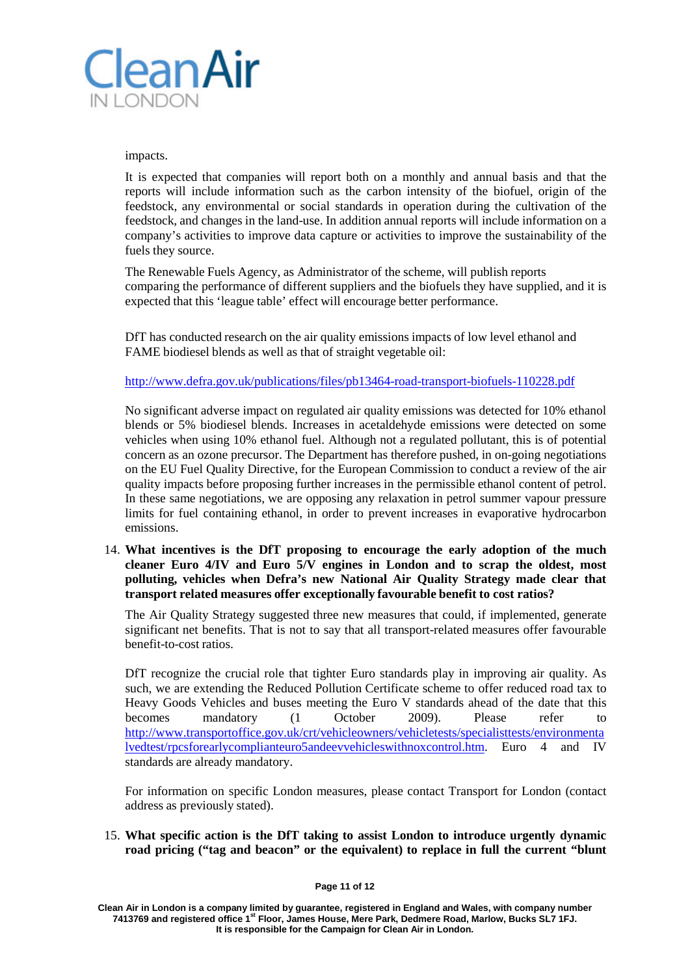

impacts.

It is expected that companies will report both on a monthly and annual basis and that the reports will include information such as the carbon intensity of the biofuel, origin of the feedstock, any environmental or social standards in operation during the cultivation of the feedstock, and changes in the land-use. In addition annual reports will include information on a company's activities to improve data capture or activities to improve the sustainability of the fuels they source.

The Renewable Fuels Agency, as Administrator of the scheme, will publish reports comparing the performance of different suppliers and the biofuels they have supplied, and it is expected that this 'league table' effect will encourage better performance.

DfT has conducted research on the air quality emissions impacts of low level ethanol and FAME biodiesel blends as well as that of straight vegetable oil:

<http://www.defra.gov.uk/publications/files/pb13464-road-transport-biofuels-110228.pdf>

No significant adverse impact on regulated air quality emissions was detected for 10% ethanol blends or 5% biodiesel blends. Increases in acetaldehyde emissions were detected on some vehicles when using 10% ethanol fuel. Although not a regulated pollutant, this is of potential concern as an ozone precursor. The Department has therefore pushed, in on-going negotiations on the EU Fuel Quality Directive, for the European Commission to conduct a review of the air quality impacts before proposing further increases in the permissible ethanol content of petrol. In these same negotiations, we are opposing any relaxation in petrol summer vapour pressure limits for fuel containing ethanol, in order to prevent increases in evaporative hydrocarbon emissions.

14. **What incentives is the DfT proposing to encourage the early adoption of the much cleaner Euro 4/IV and Euro 5/V engines in London and to scrap the oldest, most polluting, vehicles when Defra's new National Air Quality Strategy made clear that transport related measures offer exceptionally favourable benefit to cost ratios?**

The Air Quality Strategy suggested three new measures that could, if implemented, generate significant net benefits. That is not to say that all transport-related measures offer favourable benefit-to-cost ratios.

DfT recognize the crucial role that tighter Euro standards play in improving air quality. As such, we are extending the Reduced Pollution Certificate scheme to offer reduced road tax to Heavy Goods Vehicles and buses meeting the Euro V standards ahead of the date that this becomes mandatory (1 October 2009). Please refer to <http://www.transportoffice.gov.uk/crt/vehicleowners/vehicletests/specialisttests/environmenta> lvedtest/rpcsforearlycomplianteuro5andeevvehicleswithnoxcontrol.htm. Euro 4 and IV standards are already mandatory.

For information on specific London measures, please contact Transport for London (contact address as previously stated).

15. **What specific action is the DfT taking to assist London to introduce urgently dynamic road pricing ("tag and beacon" or the equivalent) to replace in full the current "blunt**

**Clean Air in London is a company limited by guarantee, registered in England and Wales, with company number 7413769 and registered office 1st Floor, James House, Mere Park, Dedmere Road, Marlow, Bucks SL7 1FJ. It is responsible for the Campaign for Clean Air in London.**